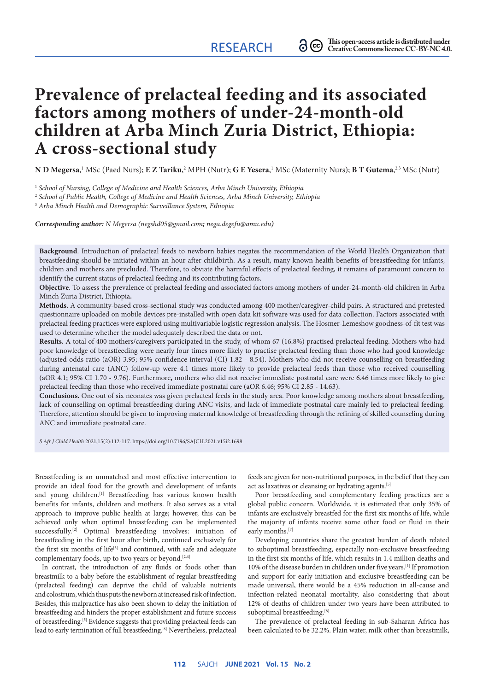# **Prevalence of prelacteal feeding and its associated factors among mothers of under-24-month-old children at Arba Minch Zuria District, Ethiopia: A cross-sectional study**

 $N$  **D Megersa**, $^1$  MSc (Paed Nurs); **E Z Tariku**, $^2$  MPH (Nutr); **G E Yesera**, $^1$  MSc (Maternity Nurs); <code>B T Gutema, $^{2,3}$ MSc (Nutr)</code>

<sup>1</sup> *School of Nursing, College of Medicine and Health Sciences, Arba Minch University, Ethiopia*

<sup>2</sup> *School of Public Health, College of Medicine and Health Sciences, Arba Minch University, Ethiopia*

<sup>3</sup> *Arba Minch Health and Demographic Surveillance System, Ethiopia*

*Corresponding author: N Megersa (negshd05@gmail.com; [nega.degefu@amu.edu](mailto:nega.degefu@amu.edu))*

**Background**. Introduction of prelacteal feeds to newborn babies negates the recommendation of the World Health Organization that breastfeeding should be initiated within an hour after childbirth. As a result, many known health benefits of breastfeeding for infants, children and mothers are precluded. Therefore, to obviate the harmful effects of prelacteal feeding, it remains of paramount concern to identify the current status of prelacteal feeding and its contributing factors.

**Objective**. To assess the prevalence of prelacteal feeding and associated factors among mothers of under-24-month-old children in Arba Minch Zuria District, Ethiopia**.**

**Methods.** A community-based cross-sectional study was conducted among 400 mother/caregiver-child pairs. A structured and pretested questionnaire uploaded on mobile devices pre-installed with open data kit software was used for data collection. Factors associated with prelacteal feeding practices were explored using multivariable logistic regression analysis. The Hosmer-Lemeshow goodness-of-fit test was used to determine whether the model adequately described the data or not.

**Results.** A total of 400 mothers/caregivers participated in the study, of whom 67 (16.8%) practised prelacteal feeding. Mothers who had poor knowledge of breastfeeding were nearly four times more likely to practise prelacteal feeding than those who had good knowledge (adjusted odds ratio (aOR) 3.95; 95% confidence interval (CI) 1.82 - 8.54). Mothers who did not receive counselling on breastfeeding during antenatal care (ANC) follow-up were 4.1 times more likely to provide prelacteal feeds than those who received counselling (aOR 4.1; 95% CI 1.70 - 9.76). Furthermore**,** mothers who did not receive immediate postnatal care were 6.46 times more likely to give prelacteal feeding than those who received immediate postnatal care (aOR 6.46; 95% CI 2.85 - 14.63).

**Conclusions.** One out of six neonates was given prelacteal feeds in the study area. Poor knowledge among mothers about breastfeeding, lack of counselling on optimal breastfeeding during ANC visits, and lack of immediate postnatal care mainly led to prelacteal feeding. Therefore, attention should be given to improving maternal knowledge of breastfeeding through the refining of skilled counseling during ANC and immediate postnatal care.

*S Afr J Child Health* 2021;15(2):112-117.<https://doi.org/10.7196/SAJCH.2021.v15i2.1698>

Breastfeeding is an unmatched and most effective intervention to provide an ideal food for the growth and development of infants and young children.<sup>[1]</sup> Breastfeeding has various known health benefits for infants, children and mothers. It also serves as a vital approach to improve public health at large; however, this can be achieved only when optimal breastfeeding can be implemented successfully.<sup>[2]</sup> Optimal breastfeeding involves: initiation of breastfeeding in the first hour after birth, continued exclusively for the first six months of life<sup>[3]</sup> and continued, with safe and adequate complementary foods, up to two years or beyond.<sup>[2,4]</sup>

In contrast, the introduction of any fluids or foods other than breastmilk to a baby before the establishment of regular breastfeeding (prelacteal feeding) can deprive the child of valuable nutrients and colostrum, which thus puts the newborn at increased risk of infection. Besides, this malpractice has also been shown to delay the initiation of breastfeeding and hinders the proper establishment and future success of breastfeeding.[5] Evidence suggests that providing prelacteal feeds can lead to early termination of full breastfeeding.<sup>[6]</sup> Nevertheless, prelacteal feeds are given for non-nutritional purposes, in the belief that they can act as laxatives or cleansing or hydrating agents.<sup>[5]</sup>

Poor breastfeeding and complementary feeding practices are a global public concern. Worldwide, it is estimated that only 35% of infants are exclusively breastfed for the first six months of life, while the majority of infants receive some other food or fluid in their early months.[7]

Developing countries share the greatest burden of death related to suboptimal breastfeeding, especially non-exclusive breastfeeding in the first six months of life, which results in 1.4 million deaths and 10% of the disease burden in children under five years.[1] If promotion and support for early initiation and exclusive breastfeeding can be made universal, there would be a 45% reduction in all-cause and infection-related neonatal mortality, also considering that about 12% of deaths of children under two years have been attributed to suboptimal breastfeeding.[8]

The prevalence of prelacteal feeding in sub-Saharan Africa has been calculated to be 32.2%. Plain water, milk other than breastmilk,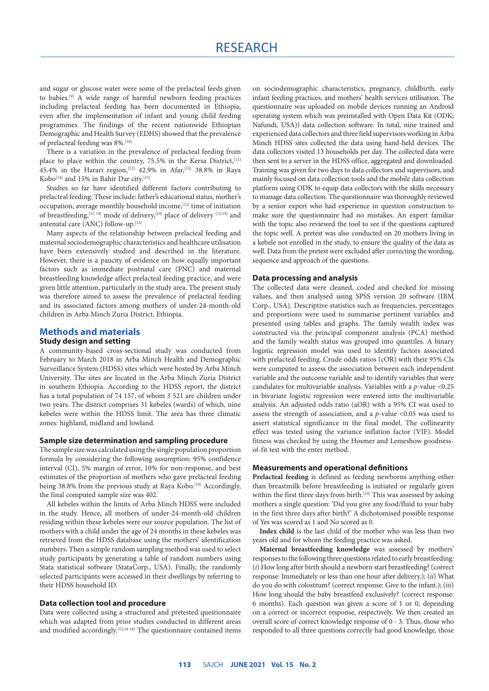## RESEARCH

and sugar or glucose water were some of the prelacteal feeds given to babies.[9] A wide range of harmful newborn feeding practices including prelacteal feeding has been documented in Ethiopia, even after the implementation of infant and young child feeding programmes. The findings of the recent nationwide Ethiopian Demographic and Health Survey (EDHS) showed that the prevalence of prelacteal feeding was 8%.<sup>[10]</sup>

There is a variation in the prevalence of prelacteal feeding from place to place within the country, 75.5% in the Kersa District,<sup>[11]</sup> 45.4% in the Harari region,<sup>[12]</sup> 42.9% in Afar,<sup>[13]</sup> 38.8% in Raya Kobo<sup>[14]</sup> and 15% in Bahir Dar city.<sup>[15]</sup>

Studies so far have identified different factors contributing to prelacteal feeding. These include: father's educational status, mother's occupation, average monthly household income,<sup>[13]</sup> time of initiation of breastfeeding,  $[12-14]$  mode of delivery,  $[14]$  place of delivery  $[12,14]$  and antenatal care (ANC) follow-up.[12]

Many aspects of the relationship between prelacteal feeding and maternal sociodemographic characteristics and healthcare utilisation have been extensively studied and described in the literature. However, there is a paucity of evidence on how equally important factors such as immediate postnatal care (PNC) and maternal breastfeeding knowledge affect prelacteal feeding practice, and were given little attention, particularly in the study area. The present study was therefore aimed to assess the prevalence of prelacteal feeding and its associated factors among mothers of under-24-month-old children in Arba Minch Zuria District, Ethiopia.

### **Methods and materials**

### **Study design and setting**

A community-based cross-sectional study was conducted from February to March 2018 in Arba Minch Health and Demographic Surveillance System (HDSS) sites which were hosted by Arba Minch University. The sites are located in the Arba Minch Zuria District in southern Ethiopia. According to the HDSS report, the district has a total population of 74 157, of whom 3 521 are children under two years. The district comprises 31 kebeles (wards) of which, nine kebeles were within the HDSS limit. The area has three climatic zones: highland, midland and lowland.

### **Sample size determination and sampling procedure**

The sample size was calculated using the single population proportion formula by considering the following assumption: 95% confidence interval (CI), 5% margin of error, 10% for non-response, and best estimates of the proportion of mothers who gave prelacteal feeding being 38.8% from the previous study at Raya Kobo.<sup>[14]</sup> Accordingly, the final computed sample size was 402.

All kebeles within the limits of Arba Minch HDSS were included in the study. Hence, all mothers of under-24-month-old children residing within these kebeles were our source population. The list of mothers with a child under the age of 24 months in these kebeles was retrieved from the HDSS database using the mothers' identification numbers. Then a simple random sampling method was used to select study participants by generating a table of random numbers using Stata statistical software (StataCorp., USA). Finally, the randomly selected participants were accessed in their dwellings by referring to their HDSS household ID.

### **Data collection tool and procedure**

Data were collected using a structured and pretested questionnaire which was adapted from prior studies conducted in different areas and modified accordingly.<sup>[12,14-16]</sup> The questionnaire contained items on sociodemographic characteristics, pregnancy, childbirth, early infant feeding practices, and mothers' health services utilisation. The questionnaire was uploaded on mobile devices running an Android operating system which was preinstalled with Open Data Kit (ODK; Nafundi, USA)) data collection software. In total, nine trained and experienced data collectors and three field supervisors working in Arba Minch HDSS sites collected the data using hand-held devices. The data collectors visited 13 households per day. The collected data were then sent to a server in the HDSS office, aggregated and downloaded. Training was given for two days to data collectors and supervisors, and mainly focused on data collection tools and the mobile data collection platform using ODK to equip data collectors with the skills necessary to manage data collection. The questionnaire was thoroughly reviewed by a senior expert who had experience in question construction to make sure the questionnaire had no mistakes. An expert familiar with the topic also reviewed the tool to see if the questions captured the topic well. A pretest was also conducted on 20 mothers living in a kebele not enrolled in the study, to ensure the quality of the data as well. Data from the pretest were excluded after correcting the wording, sequence and approach of the questions.

#### **Data processing and analysis**

The collected data were cleaned, coded and checked for missing values, and then analysed using SPSS version 20 software (IBM Corp., USA). Descriptive statistics such as frequencies, percentages and proportions were used to summarise pertinent variables and presented using tables and graphs. The family wealth index was constructed via the principal component analysis (PCA) method and the family wealth status was grouped into quantiles. A binary logistic regression model was used to identify factors associated with prelacteal feeding. Crude odds ratios (cOR) with their 95% CIs were computed to assess the association between each independent variable and the outcome variable and to identify variables that were candidates for multivariable analysis. Variables with a *p*-value <0.25 in bivariate logistic regression were entered into the multivariable analysis. An adjusted odds ratio (aOR) with a 95% CI was used to assess the strength of association, and a *p*-value <0.05 was used to assert statistical significance in the final model. The collinearity effect was tested using the variance inflation factor (VIF). Model fitness was checked by using the Hosmer and Lemeshow goodnessof-fit test with the enter method.

### **Measurements and operational definitions**

**Prelacteal feeding** is defined as feeding newborns anything other than breastmilk before breastfeeding is initiated or regularly given within the first three days from birth.<sup>[10]</sup> This was assessed by asking mothers a single question: 'Did you give any food/fluid to your baby in the first three days after birth?' A dichotomised possible response of Yes was scored as 1 and No scored as 0.

**Index child** is the last child of the mother who was less than two years old and for whom the feeding practice was asked.

**Maternal breastfeeding knowledge** was assessed by mothers' responses to the following three questions related to early breastfeeding: (*i*) How long after birth should a newborn start breastfeeding? (correct response: Immediately or less than one hour after delivery.); (*ii*) What do you do with colostrum? (correct response: Give to the infant.); (*iii*) How long should the baby breastfeed exclusively? (correct response: 6 months). Each question was given a score of 1 or 0, depending on a correct or incorrect response, respectively. We then created an overall score of correct knowledge response of 0 - 3. Thus, those who responded to all three questions correctly had good knowledge, those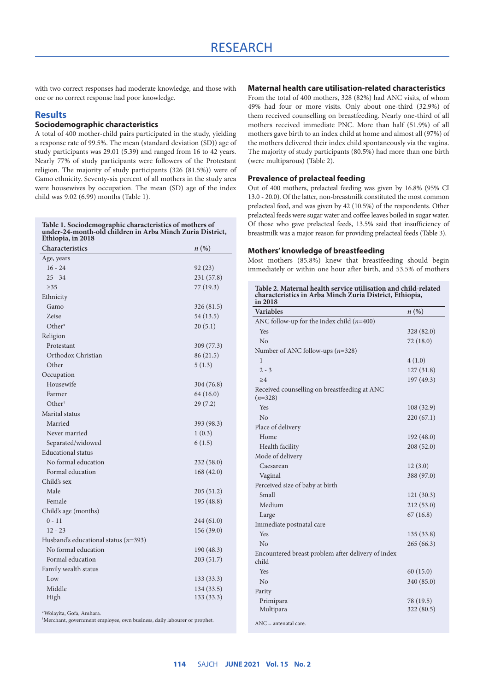with two correct responses had moderate knowledge, and those with one or no correct response had poor knowledge.

### **Results**

### **Sociodemographic characteristics**

A total of 400 mother-child pairs participated in the study, yielding a response rate of 99.5%. The mean (standard deviation (SD)) age of study participants was 29.01 (5.39**)** and ranged from 16 to 42 years. Nearly 77% of study participants were followers of the Protestant religion. The majority of study participants (326 (81.5%)) were of Gamo ethnicity. Seventy-six percent of all mothers in the study area were housewives by occupation. The mean (SD) age of the index child was 9.02 (6.99) months (Table 1).

#### **Table 1. Sociodemographic characteristics of mothers of under-24-month-old children in Arba Minch Zuria District, Ethiopia, in 2018**

| Characteristics                          | $n\left(\%\right)$ |
|------------------------------------------|--------------------|
| Age, years                               |                    |
| $16 - 24$                                | 92(23)             |
| $25 - 34$                                | 231 (57.8)         |
| $\geq$ 35                                | 77 (19.3)          |
| Ethnicity                                |                    |
| Gamo                                     | 326 (81.5)         |
| <b>Zeise</b>                             | 54 (13.5)          |
| Other*                                   | 20(5.1)            |
| Religion                                 |                    |
| Protestant                               | 309 (77.3)         |
| Orthodox Christian                       | 86 (21.5)          |
| Other                                    | 5(1.3)             |
| Occupation                               |                    |
| Housewife                                | 304 (76.8)         |
| Farmer                                   | 64 (16.0)          |
| Other <sup>†</sup>                       | 29(7.2)            |
| Marital status                           |                    |
| Married                                  | 393 (98.3)         |
| Never married                            | 1(0.3)             |
| Separated/widowed                        | 6(1.5)             |
| <b>Educational</b> status                |                    |
| No formal education                      | 232(58.0)          |
| Formal education                         | 168(42.0)          |
| Child's sex                              |                    |
| Male                                     | 205(51.2)          |
| Female                                   | 195 (48.8)         |
| Child's age (months)                     |                    |
| $0 - 11$                                 | 244 (61.0)         |
| $12 - 23$                                | 156(39.0)          |
| Husband's educational status ( $n=393$ ) |                    |
| No formal education                      | 190 (48.3)         |
| Formal education                         | 203 (51.7)         |
| Family wealth status                     |                    |
| Low                                      | 133 (33.3)         |
| Middle                                   | 134 (33.5)         |
| High                                     | 133(33.3)          |
| *Wolayita, Gofa, Amhara.                 |                    |

† Merchant, government employee, own business, daily labourer or prophet.

### **Maternal health care utilisation-related characteristics**

From the total of 400 mothers, 328 (82%) had ANC visits, of whom 49% had four or more visits. Only about one-third (32.9%) of them received counselling on breastfeeding. Nearly one-third of all mothers received immediate PNC. More than half (51.9%) of all mothers gave birth to an index child at home and almost all (97%) of the mothers delivered their index child spontaneously via the vagina. The majority of study participants (80.5%) had more than one birth (were multiparous) (Table 2).

### **Prevalence of prelacteal feeding**

Out of 400 mothers, prelacteal feeding was given by 16.8% (95% CI 13.0 - 20.0). Of the latter, non-breastmilk constituted the most common prelacteal feed, and was given by 42 (10.5%) of the respondents. Other prelacteal feeds were sugar water and coffee leaves boiled in sugar water. Of those who gave prelacteal feeds, 13.5% said that insufficiency of breastmilk was a major reason for providing prelacteal feeds (Table 3).

### **Mothers' knowledge of breastfeeding**

Most mothers (85.8%) knew that breastfeeding should begin immediately or within one hour after birth, and 53.5% of mothers

**Table 2. Maternal health service utilisation and child-related characteristics in Arba Minch Zuria District, Ethiopia, in 2018**

| <b>Variables</b>                                            | $n\left(\%\right)$ |
|-------------------------------------------------------------|--------------------|
| ANC follow-up for the index child $(n=400)$                 |                    |
| Yes                                                         | 328 (82.0)         |
| No                                                          | 72 (18.0)          |
| Number of ANC follow-ups $(n=328)$                          |                    |
| 1                                                           | 4(1.0)             |
| $2 - 3$                                                     | 127(31.8)          |
| >4                                                          | 197 (49.3)         |
| Received counselling on breastfeeding at ANC<br>$(n=328)$   |                    |
| Yes                                                         | 108(32.9)          |
| No                                                          | 220(67.1)          |
| Place of delivery                                           |                    |
| Home                                                        | 192 (48.0)         |
| Health facility                                             | 208 (52.0)         |
| Mode of delivery                                            |                    |
| Caesarean                                                   | 12(3.0)            |
| Vaginal                                                     | 388 (97.0)         |
| Perceived size of baby at birth                             |                    |
| Small                                                       | 121(30.3)          |
| Medium                                                      | 212 (53.0)         |
| Large                                                       | 67(16.8)           |
| Immediate postnatal care                                    |                    |
| Yes                                                         | 135(33.8)          |
| N <sub>o</sub>                                              | 265 (66.3)         |
| Encountered breast problem after delivery of index<br>child |                    |
| Yes                                                         | 60(15.0)           |
| N <sub>o</sub>                                              | 340 (85.0)         |
| Parity                                                      |                    |
| Primipara                                                   | 78 (19.5)          |
| Multipara                                                   | 322 (80.5)         |
| $ANC = antenatal care$                                      |                    |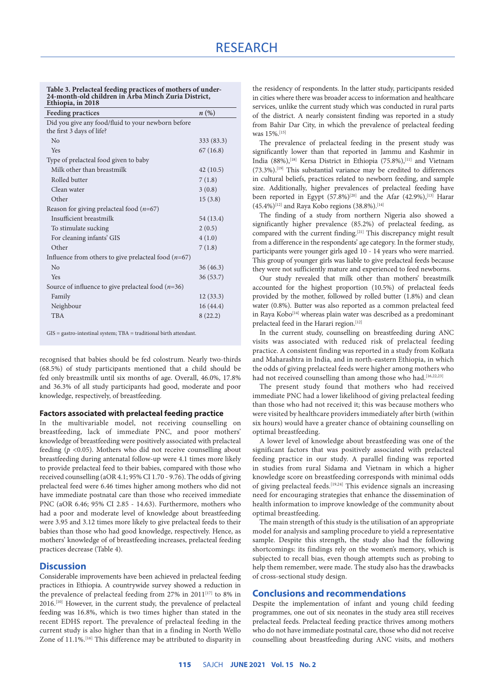#### **Table 3. Prelacteal feeding practices of mothers of under-24-month-old children in Arba Minch Zuria District, Ethiopia, in 2018**

| <b>Feeding practices</b>                               | $n(\%)$    |
|--------------------------------------------------------|------------|
| Did you give any food/fluid to your newborn before     |            |
| the first 3 days of life?                              |            |
| No                                                     | 333 (83.3) |
| Yes                                                    | 67(16.8)   |
| Type of prelacteal food given to baby                  |            |
| Milk other than breastmilk                             | 42(10.5)   |
| Rolled butter                                          | 7(1.8)     |
| Clean water                                            | 3(0.8)     |
| Other                                                  | 15(3.8)    |
| Reason for giving prelacteal food $(n=67)$             |            |
| Insufficient breastmilk                                | 54 (13.4)  |
| To stimulate sucking                                   | 2(0.5)     |
| For cleaning infants' GIS                              | 4(1.0)     |
| Other                                                  | 7(1.8)     |
| Influence from others to give prelacteal food $(n=67)$ |            |
| No                                                     | 36 (46.3)  |
| Yes                                                    | 36 (53.7)  |
| Source of influence to give prelacteal food $(n=36)$   |            |
| Family                                                 | 12(33.3)   |
| Neighbour                                              | 16(44.4)   |
| <b>TBA</b>                                             | 8(22.2)    |
|                                                        |            |

GIS = gastro-intestinal system; TBA = traditional birth attendant.

recognised that babies should be fed colostrum. Nearly two-thirds (68.5%) of study participants mentioned that a child should be fed only breastmilk until six months of age. Overall, 46.0%, 17.8% and 36.3% of all study participants had good, moderate and poor knowledge, respectively, of breastfeeding.

### **Factors associated with prelacteal feeding practice**

In the multivariable model, not receiving counselling on breastfeeding, lack of immediate PNC, and poor mothers' knowledge of breastfeeding were positively associated with prelacteal feeding  $(p \le 0.05)$ . Mothers who did not receive counselling about breastfeeding during antenatal follow-up were 4.1 times more likely to provide prelacteal feed to their babies, compared with those who received counselling (aOR 4.1; 95% CI 1.70 - 9.76). The odds of giving prelacteal feed were 6.46 times higher among mothers who did not have immediate postnatal care than those who received immediate PNC (aOR 6.46; 95% CI 2.85 - 14.63). Furthermore, mothers who had a poor and moderate level of knowledge about breastfeeding were 3.95 and 3.12 times more likely to give prelacteal feeds to their babies than those who had good knowledge, respectively. Hence, as mothers' knowledge of of breastfeeding increases, prelacteal feeding practices decrease (Table 4).

### **Discussion**

Considerable improvements have been achieved in prelacteal feeding practices in Ethiopia. A countrywide survey showed a reduction in the prevalence of prelacteal feeding from 27% in 2011<sup>[17]</sup> to 8% in 2016.[10] However, in the current study, the prevalence of prelacteal feeding was 16.8%, which is two times higher than stated in the recent EDHS report. The prevalence of prelacteal feeding in the current study is also higher than that in a finding in North Wello Zone of 11.1%.[16] This difference may be attributed to disparity in the residency of respondents. In the latter study, participants resided in cities where there was broader access to information and healthcare services, unlike the current study which was conducted in rural parts of the district. A nearly consistent finding was reported in a study from Bahir Dar City, in which the prevalence of prelacteal feeding was 15%.<sup>[15]</sup>

The prevalence of prelacteal feeding in the present study was significantly lower than that reported in Jammu and Kashmir in India (88%),[18] Kersa District in Ethiopia (75.8%),[11] and Vietnam (73.3%).[19] This substantial variance may be credited to differences in cultural beliefs, practices related to newborn feeding, and sample size. Additionally, higher prevalences of prelacteal feeding have been reported in Egypt  $(57.8\%)^{[20]}$  and the Afar  $(42.9\%)$ ,  $^{[13]}$  Harar  $(45.4\%)$ <sup>[12]</sup> and Raya Kobo regions (38.8%).<sup>[14]</sup>

The finding of a study from northern Nigeria also showed a significantly higher prevalence (85.2%) of prelacteal feeding, as compared with the current finding.[21] This discrepancy might result from a difference in the respondents' age category. In the former study, participants were younger girls aged 10 - 14 years who were married. This group of younger girls was liable to give prelacteal feeds because they were not sufficiently mature and experienced to feed newborns.

Our study revealed that milk other than mothers' breastmilk accounted for the highest proportion (10.5%) of prelacteal feeds provided by the mother, followed by rolled butter (1.8%) and clean water (0.8%). Butter was also reported as a common prelacteal feed in Raya Kobo<sup>[14]</sup> whereas plain water was described as a predominant prelacteal feed in the Harari region.<sup>[12]</sup>

In the current study, counselling on breastfeeding during ANC visits was associated with reduced risk of prelacteal feeding practice. A consistent finding was reported in a study from Kolkata and Maharashtra in India, and in north-eastern Ethiopia, in which the odds of giving prelacteal feeds were higher among mothers who had not received counselling than among those who had.<sup>[16,22,23]</sup>

The present study found that mothers who had received immediate PNC had a lower likelihood of giving prelacteal feeding than those who had not received it; this was because mothers who were visited by healthcare providers immediately after birth (within six hours) would have a greater chance of obtaining counselling on optimal breastfeeding.

A lower level of knowledge about breastfeeding was one of the significant factors that was positively associated with prelacteal feeding practice in our study. A parallel finding was reported in studies from rural Sidama and Vietnam in which a higher knowledge score on breastfeeding corresponds with minimal odds of giving prelacteal feeds.<sup>[19,24]</sup> This evidence signals an increasing need for encouraging strategies that enhance the dissemination of health information to improve knowledge of the community about optimal breastfeeding.

The main strength of this study is the utilisation of an appropriate model for analysis and sampling procedure to yield a representative sample. Despite this strength, the study also had the following shortcomings: its findings rely on the women's memory, which is subjected to recall bias, even though attempts such as probing to help them remember, were made. The study also has the drawbacks of cross-sectional study design.

#### **Conclusions and recommendations**

Despite the implementation of infant and young child feeding programmes, one out of six neonates in the study area still receives prelacteal feeds. Prelacteal feeding practice thrives among mothers who do not have immediate postnatal care, those who did not receive counselling about breastfeeding during ANC visits, and mothers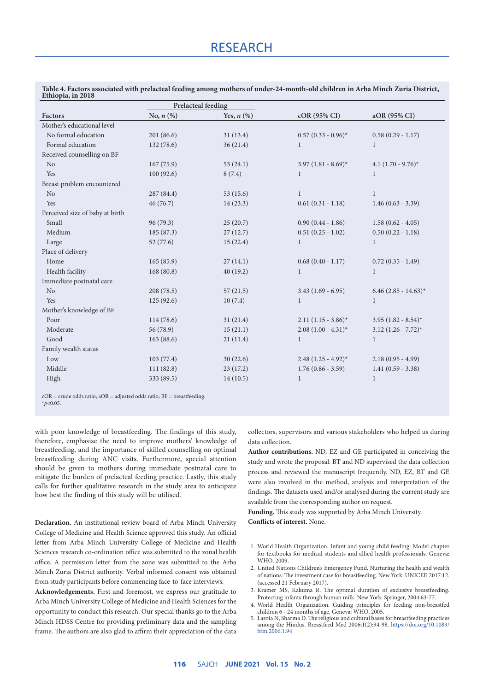| Factors                         | Prelacteal feeding |                 |                         |                         |
|---------------------------------|--------------------|-----------------|-------------------------|-------------------------|
|                                 | No, $n$ $(\%)$     | Yes, $n$ $(\%)$ | $cOR$ (95% CI)          | aOR (95% CI)            |
| Mother's educational level      |                    |                 |                         |                         |
| No formal education             | 201 (86.6)         | 31(13.4)        | $0.57(0.33 - 0.96)^{*}$ | $0.58(0.29 - 1.17)$     |
| Formal education                | 132(78.6)          | 36(21.4)        | 1                       | 1                       |
| Received counselling on BF      |                    |                 |                         |                         |
| N <sub>o</sub>                  | 167(75.9)          | 53(24.1)        | $3.97(1.81 - 8.69)^{*}$ | 4.1 $(1.70 - 9.76)^*$   |
| Yes                             | 100(92.6)          | 8(7.4)          | 1                       | $\mathbf{1}$            |
| Breast problem encountered      |                    |                 |                         |                         |
| N <sub>o</sub>                  | 287 (84.4)         | 53(15.6)        | $\mathbf{1}$            | $\mathbf{1}$            |
| Yes                             | 46(76.7)           | 14(23.3)        | $0.61(0.31 - 1.18)$     | $1.46(0.63 - 3.39)$     |
| Perceived size of baby at birth |                    |                 |                         |                         |
| Small                           | 96(79.3)           | 25(20.7)        | $0.90(0.44 - 1.86)$     | $1.58(0.62 - 4.05)$     |
| Medium                          | 185 (87.3)         | 27(12.7)        | $0.51(0.25 - 1.02)$     | $0.50(0.22 - 1.18)$     |
| Large                           | 52(77.6)           | 15(22.4)        | 1                       | 1                       |
| Place of delivery               |                    |                 |                         |                         |
| Home                            | 165(85.9)          | 27(14.1)        | $0.68(0.40 - 1.17)$     | $0.72(0.35 - 1.49)$     |
| Health facility                 | 168(80.8)          | 40(19.2)        | 1                       | 1                       |
| Immediate postnatal care        |                    |                 |                         |                         |
| No                              | 208(78.5)          | 57(21.5)        | $3.43(1.69 - 6.95)$     | $6.46$ (2.85 - 14.63)*  |
| Yes                             | 125(92.6)          | 10(7.4)         | $\mathbf{1}$            | 1                       |
| Mother's knowledge of BF        |                    |                 |                         |                         |
| Poor                            | 114(78.6)          | 31(21.4)        | $2.11(1.15 - 3.86)^{*}$ | $3.95(1.82 - 8.54)^{*}$ |
| Moderate                        | 56 (78.9)          | 15(21.1)        | $2.08(1.00 - 4.31)^{*}$ | $3.12 (1.26 - 7.72)^*$  |
| Good                            | 163(88.6)          | 21(11.4)        | 1                       | $\mathbf{1}$            |
| Family wealth status            |                    |                 |                         |                         |
| Low                             | 103(77.4)          | 30(22.6)        | $2.48(1.25 - 4.92)^{*}$ | $2.18(0.95 - 4.99)$     |
| Middle                          | 111(82.8)          | 23(17.2)        | $1.76(0.86 - 3.59)$     | $1.41(0.59 - 3.38)$     |
| High                            | 333 (89.5)         | 14(10.5)        | $\mathbf{1}$            | $\mathbf{1}$            |

**Table 4. Factors associated with prelacteal feeding among mothers of under-24-month-old children in Arba Minch Zuria District, Ethiopia, in 2018**

cOR = crude odds ratio; aOR = adjusted odds ratio; BF = breastfeeding. \**p*<0.05.

with poor knowledge of breastfeeding. The findings of this study, therefore, emphasise the need to improve mothers' knowledge of breastfeeding, and the importance of skilled counselling on optimal breastfeeding during ANC visits. Furthermore, special attention should be given to mothers during immediate postnatal care to mitigate the burden of prelacteal feeding practice. Lastly, this study calls for further qualitative research in the study area to anticipate how best the finding of this study will be utilised.

**Declaration.** An institutional review board of Arba Minch University College of Medicine and Health Science approved this study. An official letter from Arba Minch University College of Medicine and Health Sciences research co-ordination office was submitted to the zonal health office. A permission letter from the zone was submitted to the Arba Minch Zuria District authority. Verbal informed consent was obtained from study participants before commencing face-to-face interviews.

**Acknowledgements.** First and foremost, we express our gratitude to Arba Minch University College of Medicine and Health Sciences for the opportunity to conduct this research. Our special thanks go to the Arba Minch HDSS Centre for providing preliminary data and the sampling frame. The authors are also glad to affirm their appreciation of the data collectors, supervisors and various stakeholders who helped us during data collection.

**Author contributions.** ND, EZ and GE participated in conceiving the study and wrote the proposal. BT and ND supervised the data collection process and reviewed the manuscript frequently. ND, EZ, BT and GE were also involved in the method, analysis and interpretation of the findings. The datasets used and/or analysed during the current study are available from the corresponding author on request.

**Funding.** This study was supported by Arba Minch University. **Conflicts of interest.** None.

- 1. World Health Organization. Infant and young child feeding: Model chapter for textbooks for medical students and allied health professionals. Geneva: WHO, 2009.
- 2. United Nations Children's Emergency Fund. Nurturing the health and wealth of nations: The investment case for breastfeeding. New York: UNICEF, 2017:12. (accessed 21 February 2017).
- 3. Kramer MS, Kakuma R. The optimal duration of exclusive breastfeeding. Protecting infants through human milk. New York: Springer, 2004:63-77.
- 4. World Health Organization. Guiding principles for feeding non-breastfed children 6 - 24 months of age. Geneva: WHO, 2005.
- 5. Laroia N, Sharma D. The religious and cultural bases for breastfeeding practices among the Hindus. Breastfeed Med 2006;1(2):94-98. [https://doi.org/10.1089/](https://doi.org/10.1089/bfm.2006.1.94) [bfm.2006.1.94](https://doi.org/10.1089/bfm.2006.1.94)